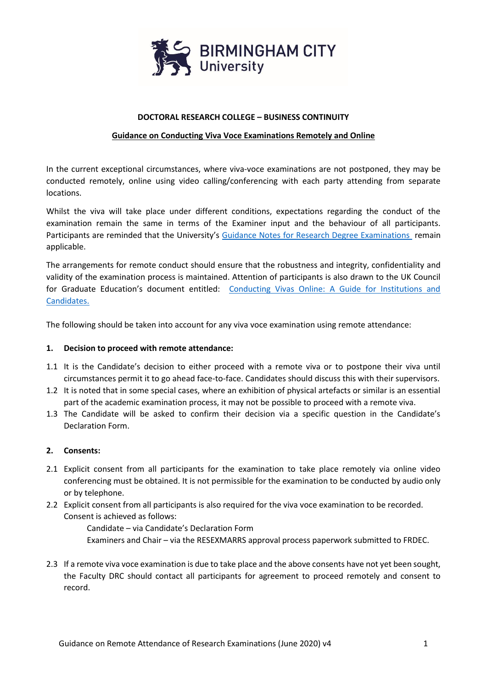

#### **DOCTORAL RESEARCH COLLEGE – BUSINESS CONTINUITY**

#### **Guidance on Conducting Viva Voce Examinations Remotely and Online**

In the current exceptional circumstances, where viva-voce examinations are not postponed, they may be conducted remotely, online using video calling/conferencing with each party attending from separate locations.

Whilst the viva will take place under different conditions, expectations regarding the conduct of the examination remain the same in terms of the Examiner input and the behaviour of all participants. Participants are reminded that the University's [Guidance Notes for Research Degree Examinations](https://hub.bcu.ac.uk/sites/rie/research/Research%20Degrees/_layouts/WordViewer.aspx?id=/sites/rie/research/Research%20Degrees/Shared%20Documents/Examination%20Guidance%20and%20Forms/Guidance%20Notes%20for%20Research%20Degree%20Examinations%20(March%202020)_Remote%20Attendance%20Annex.docx&Source=https%3A%2F%2Fhub%2Ebcu%2Eac%2Euk%2Fsites%2Frie%2Fresearch%2FResearch%2520Degrees%2FSitePages%2FHome%2Easpx%3FFolderCTID%3D0x012000BB1A4EEC089EEB4F802D2B58D165C9A6%26View%3D%7Be14af1e9%2Db66c%2D48cf%2D8406%2Df4edd11e3088%7D%26RootFolder%3D%252Fsites%252Frie%252Fresearch%252FResearch%2520Degrees%252FShared%2520Documents%252FExamination%2520Guidance%2520and%2520Forms%26SortField%3DModified%26SortDir%3DAsc&DefaultItemOpen=1) remain applicable.

The arrangements for remote conduct should ensure that the robustness and integrity, confidentiality and validity of the examination process is maintained. Attention of participants is also drawn to the UK Council for Graduate Education's document entitled: Conducting Vivas Online: A Guide for Institutions and [Candidates.](https://hub.bcu.ac.uk/sites/rie/research/Research%20Degrees/Shared%20Documents/Examination%20Guidance%20and%20Forms/Guide%20to%20Conducting%20Vivas%20Online%20-%20UK%20Council%20for%20Graduate%20Education.pdf)

The following should be taken into account for any viva voce examination using remote attendance:

#### **1. Decision to proceed with remote attendance:**

- 1.1 It is the Candidate's decision to either proceed with a remote viva or to postpone their viva until circumstances permit it to go ahead face-to-face. Candidates should discuss this with their supervisors.
- 1.2 It is noted that in some special cases, where an exhibition of physical artefacts or similar is an essential part of the academic examination process, it may not be possible to proceed with a remote viva.
- 1.3 The Candidate will be asked to confirm their decision via a specific question in the Candidate's Declaration Form.

## **2. Consents:**

- 2.1 Explicit consent from all participants for the examination to take place remotely via online video conferencing must be obtained. It is not permissible for the examination to be conducted by audio only or by telephone.
- 2.2 Explicit consent from all participants is also required for the viva voce examination to be recorded. Consent is achieved as follows:

Candidate – via Candidate's Declaration Form Examiners and Chair – via the RESEXMARRS approval process paperwork submitted to FRDEC.

2.3 If a remote viva voce examination is due to take place and the above consents have not yet been sought, the Faculty DRC should contact all participants for agreement to proceed remotely and consent to record.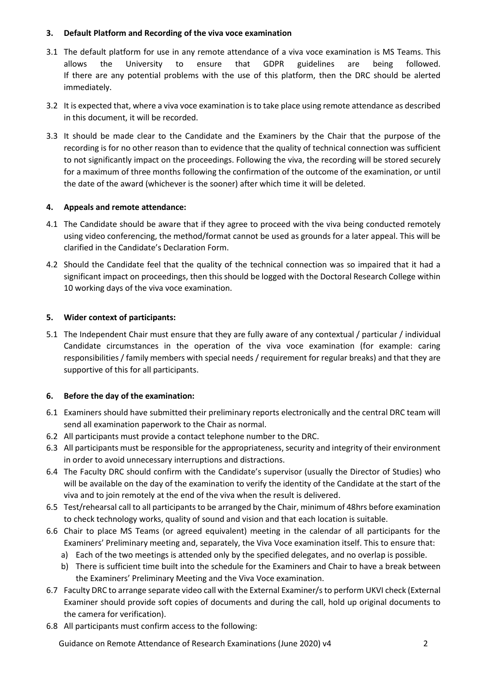## **3. Default Platform and Recording of the viva voce examination**

- 3.1 The default platform for use in any remote attendance of a viva voce examination is MS Teams. This allows the University to ensure that GDPR guidelines are being followed. If there are any potential problems with the use of this platform, then the DRC should be alerted immediately.
- 3.2 It is expected that, where a viva voce examination is to take place using remote attendance as described in this document, it will be recorded.
- 3.3 It should be made clear to the Candidate and the Examiners by the Chair that the purpose of the recording is for no other reason than to evidence that the quality of technical connection was sufficient to not significantly impact on the proceedings. Following the viva, the recording will be stored securely for a maximum of three months following the confirmation of the outcome of the examination, or until the date of the award (whichever is the sooner) after which time it will be deleted.

## **4. Appeals and remote attendance:**

- 4.1 The Candidate should be aware that if they agree to proceed with the viva being conducted remotely using video conferencing, the method/format cannot be used as grounds for a later appeal. This will be clarified in the Candidate's Declaration Form.
- 4.2 Should the Candidate feel that the quality of the technical connection was so impaired that it had a significant impact on proceedings, then this should be logged with the Doctoral Research College within 10 working days of the viva voce examination.

#### **5. Wider context of participants:**

5.1 The Independent Chair must ensure that they are fully aware of any contextual / particular / individual Candidate circumstances in the operation of the viva voce examination (for example: caring responsibilities / family members with special needs / requirement for regular breaks) and that they are supportive of this for all participants.

## **6. Before the day of the examination:**

- 6.1 Examiners should have submitted their preliminary reports electronically and the central DRC team will send all examination paperwork to the Chair as normal.
- 6.2 All participants must provide a contact telephone number to the DRC.
- 6.3 All participants must be responsible for the appropriateness, security and integrity of their environment in order to avoid unnecessary interruptions and distractions.
- 6.4 The Faculty DRC should confirm with the Candidate's supervisor (usually the Director of Studies) who will be available on the day of the examination to verify the identity of the Candidate at the start of the viva and to join remotely at the end of the viva when the result is delivered.
- 6.5 Test/rehearsal call to all participants to be arranged by the Chair, minimum of 48hrs before examination to check technology works, quality of sound and vision and that each location is suitable.
- 6.6 Chair to place MS Teams (or agreed equivalent) meeting in the calendar of all participants for the Examiners' Preliminary meeting and, separately, the Viva Voce examination itself. This to ensure that:
	- a) Each of the two meetings is attended only by the specified delegates, and no overlap is possible.
	- b) There is sufficient time built into the schedule for the Examiners and Chair to have a break between the Examiners' Preliminary Meeting and the Viva Voce examination.
- 6.7 Faculty DRC to arrange separate video call with the External Examiner/sto perform UKVI check (External Examiner should provide soft copies of documents and during the call, hold up original documents to the camera for verification).
- 6.8 All participants must confirm access to the following:

Guidance on Remote Attendance of Research Examinations (June 2020) v4 2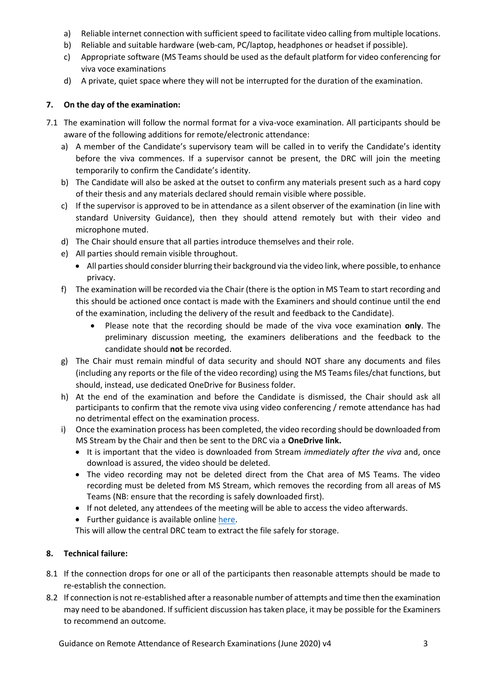- a) Reliable internet connection with sufficient speed to facilitate video calling from multiple locations.
- b) Reliable and suitable hardware (web-cam, PC/laptop, headphones or headset if possible).
- c) Appropriate software (MS Teams should be used as the default platform for video conferencing for viva voce examinations
- d) A private, quiet space where they will not be interrupted for the duration of the examination.

# **7. On the day of the examination:**

- 7.1 The examination will follow the normal format for a viva-voce examination. All participants should be aware of the following additions for remote/electronic attendance:
	- a) A member of the Candidate's supervisory team will be called in to verify the Candidate's identity before the viva commences. If a supervisor cannot be present, the DRC will join the meeting temporarily to confirm the Candidate's identity.
	- b) The Candidate will also be asked at the outset to confirm any materials present such as a hard copy of their thesis and any materials declared should remain visible where possible.
	- c) If the supervisor is approved to be in attendance as a silent observer of the examination (in line with standard University Guidance), then they should attend remotely but with their video and microphone muted.
	- d) The Chair should ensure that all parties introduce themselves and their role.
	- e) All parties should remain visible throughout.
		- All parties should consider blurring their background via the video link, where possible, to enhance privacy.
	- f) The examination will be recorded via the Chair (there is the option in MS Team to start recording and this should be actioned once contact is made with the Examiners and should continue until the end of the examination, including the delivery of the result and feedback to the Candidate).
		- Please note that the recording should be made of the viva voce examination **only**. The preliminary discussion meeting, the examiners deliberations and the feedback to the candidate should **not** be recorded.
	- g) The Chair must remain mindful of data security and should NOT share any documents and files (including any reports or the file of the video recording) using the MS Teams files/chat functions, but should, instead, use dedicated OneDrive for Business folder.
	- h) At the end of the examination and before the Candidate is dismissed, the Chair should ask all participants to confirm that the remote viva using video conferencing / remote attendance has had no detrimental effect on the examination process.
	- i) Once the examination process has been completed, the video recording should be downloaded from MS Stream by the Chair and then be sent to the DRC via a **OneDrive link.**
		- It is important that the video is downloaded from Stream *immediately after the viva* and, once download is assured, the video should be deleted.
		- The video recording may not be deleted direct from the Chat area of MS Teams. The video recording must be deleted from MS Stream, which removes the recording from all areas of MS Teams (NB: ensure that the recording is safely downloaded first).
		- If not deleted, any attendees of the meeting will be able to access the video afterwards.
		- Further guidance is available online [here.](https://support.office.com/en-us/article/Play-and-share-a-meeting-recording-in-Teams-7d7e5dc5-9ae4-4b94-8589-27496037e8fa)

This will allow the central DRC team to extract the file safely for storage.

# **8. Technical failure:**

- 8.1 If the connection drops for one or all of the participants then reasonable attempts should be made to re-establish the connection.
- 8.2 If connection is not re-established after a reasonable number of attempts and time then the examination may need to be abandoned. If sufficient discussion has taken place, it may be possible for the Examiners to recommend an outcome.

Guidance on Remote Attendance of Research Examinations (June 2020) v4 3